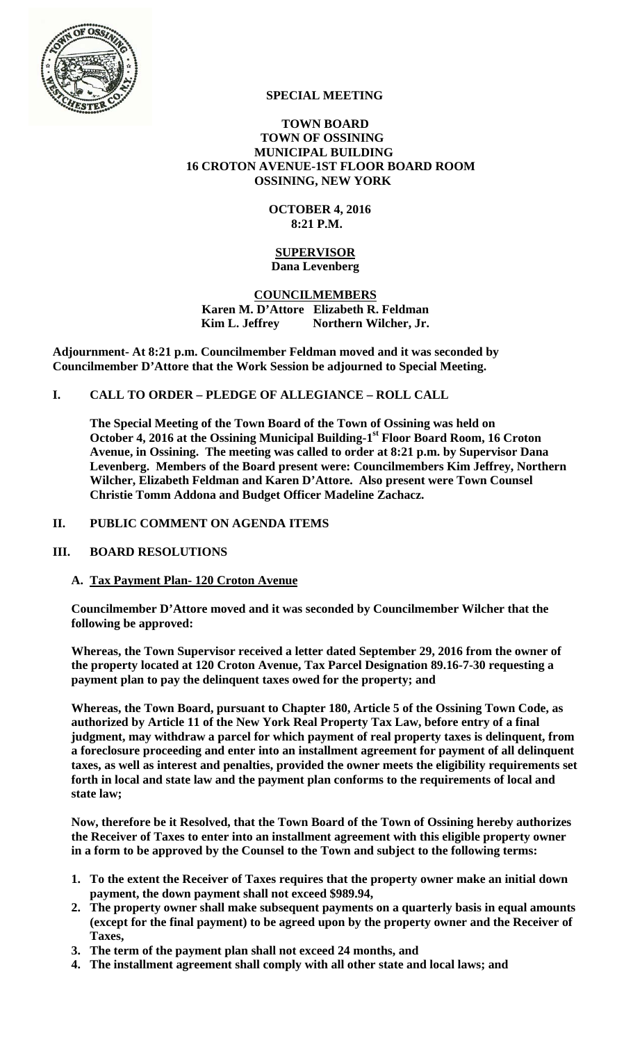

# **SPECIAL MEETING**

### **TOWN BOARD TOWN OF OSSINING MUNICIPAL BUILDING 16 CROTON AVENUE-1ST FLOOR BOARD ROOM OSSINING, NEW YORK**

### **OCTOBER 4, 2016 8:21 P.M.**

### **SUPERVISOR Dana Levenberg**

### **COUNCILMEMBERS Karen M. D'Attore Elizabeth R. Feldman Kim L. Jeffrey** Northern Wilcher, Jr.

**Adjournment- At 8:21 p.m. Councilmember Feldman moved and it was seconded by Councilmember D'Attore that the Work Session be adjourned to Special Meeting.** 

# **I. CALL TO ORDER – PLEDGE OF ALLEGIANCE – ROLL CALL**

**The Special Meeting of the Town Board of the Town of Ossining was held on**  October 4, 2016 at the Ossining Municipal Building-1<sup>st</sup> Floor Board Room, 16 Croton **Avenue, in Ossining. The meeting was called to order at 8:21 p.m. by Supervisor Dana Levenberg. Members of the Board present were: Councilmembers Kim Jeffrey, Northern Wilcher, Elizabeth Feldman and Karen D'Attore. Also present were Town Counsel Christie Tomm Addona and Budget Officer Madeline Zachacz.** 

### **II. PUBLIC COMMENT ON AGENDA ITEMS**

### **III. BOARD RESOLUTIONS**

### **A. Tax Payment Plan- 120 Croton Avenue**

**Councilmember D'Attore moved and it was seconded by Councilmember Wilcher that the following be approved:** 

**Whereas, the Town Supervisor received a letter dated September 29, 2016 from the owner of the property located at 120 Croton Avenue, Tax Parcel Designation 89.16-7-30 requesting a payment plan to pay the delinquent taxes owed for the property; and** 

**Whereas, the Town Board, pursuant to Chapter 180, Article 5 of the Ossining Town Code, as authorized by Article 11 of the New York Real Property Tax Law, before entry of a final judgment, may withdraw a parcel for which payment of real property taxes is delinquent, from a foreclosure proceeding and enter into an installment agreement for payment of all delinquent taxes, as well as interest and penalties, provided the owner meets the eligibility requirements set forth in local and state law and the payment plan conforms to the requirements of local and state law;** 

**Now, therefore be it Resolved, that the Town Board of the Town of Ossining hereby authorizes the Receiver of Taxes to enter into an installment agreement with this eligible property owner in a form to be approved by the Counsel to the Town and subject to the following terms:** 

- **1. To the extent the Receiver of Taxes requires that the property owner make an initial down payment, the down payment shall not exceed \$989.94,**
- **2. The property owner shall make subsequent payments on a quarterly basis in equal amounts (except for the final payment) to be agreed upon by the property owner and the Receiver of Taxes,**
- **3. The term of the payment plan shall not exceed 24 months, and**
- **4. The installment agreement shall comply with all other state and local laws; and**